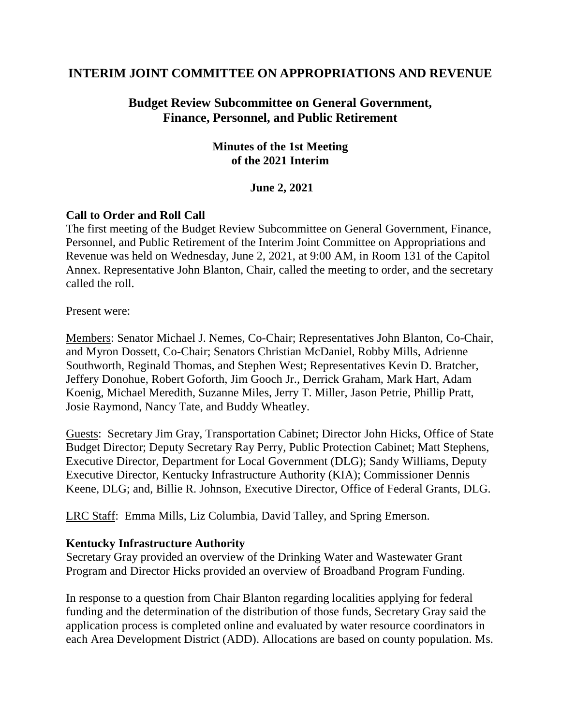## **INTERIM JOINT COMMITTEE ON APPROPRIATIONS AND REVENUE**

# **Budget Review Subcommittee on General Government, Finance, Personnel, and Public Retirement**

### **Minutes of the 1st Meeting of the 2021 Interim**

### **June 2, 2021**

### **Call to Order and Roll Call**

The first meeting of the Budget Review Subcommittee on General Government, Finance, Personnel, and Public Retirement of the Interim Joint Committee on Appropriations and Revenue was held on Wednesday, June 2, 2021, at 9:00 AM, in Room 131 of the Capitol Annex. Representative John Blanton, Chair, called the meeting to order, and the secretary called the roll.

Present were:

Members: Senator Michael J. Nemes, Co-Chair; Representatives John Blanton, Co-Chair, and Myron Dossett, Co-Chair; Senators Christian McDaniel, Robby Mills, Adrienne Southworth, Reginald Thomas, and Stephen West; Representatives Kevin D. Bratcher, Jeffery Donohue, Robert Goforth, Jim Gooch Jr., Derrick Graham, Mark Hart, Adam Koenig, Michael Meredith, Suzanne Miles, Jerry T. Miller, Jason Petrie, Phillip Pratt, Josie Raymond, Nancy Tate, and Buddy Wheatley.

Guests: Secretary Jim Gray, Transportation Cabinet; Director John Hicks, Office of State Budget Director; Deputy Secretary Ray Perry, Public Protection Cabinet; Matt Stephens, Executive Director, Department for Local Government (DLG); Sandy Williams, Deputy Executive Director, Kentucky Infrastructure Authority (KIA); Commissioner Dennis Keene, DLG; and, Billie R. Johnson, Executive Director, Office of Federal Grants, DLG.

LRC Staff: Emma Mills, Liz Columbia, David Talley, and Spring Emerson.

#### **Kentucky Infrastructure Authority**

Secretary Gray provided an overview of the Drinking Water and Wastewater Grant Program and Director Hicks provided an overview of Broadband Program Funding.

In response to a question from Chair Blanton regarding localities applying for federal funding and the determination of the distribution of those funds, Secretary Gray said the application process is completed online and evaluated by water resource coordinators in each Area Development District (ADD). Allocations are based on county population. Ms.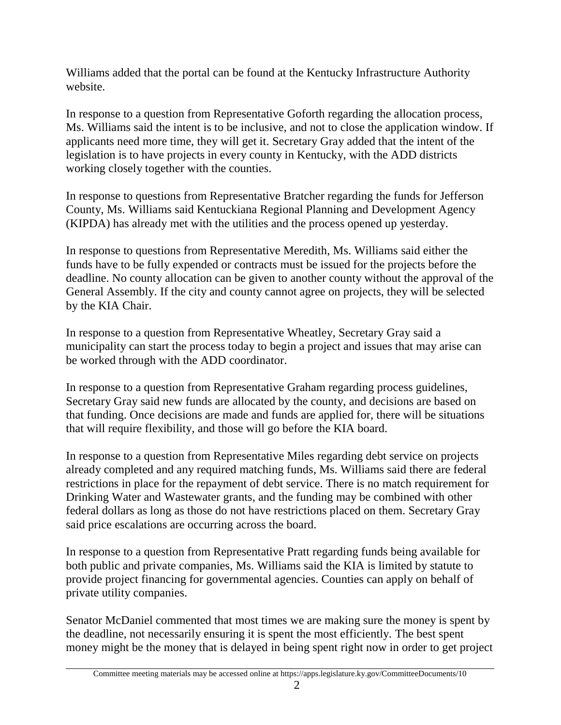Williams added that the portal can be found at the Kentucky Infrastructure Authority website.

In response to a question from Representative Goforth regarding the allocation process, Ms. Williams said the intent is to be inclusive, and not to close the application window. If applicants need more time, they will get it. Secretary Gray added that the intent of the legislation is to have projects in every county in Kentucky, with the ADD districts working closely together with the counties.

In response to questions from Representative Bratcher regarding the funds for Jefferson County, Ms. Williams said Kentuckiana Regional Planning and Development Agency (KIPDA) has already met with the utilities and the process opened up yesterday.

In response to questions from Representative Meredith, Ms. Williams said either the funds have to be fully expended or contracts must be issued for the projects before the deadline. No county allocation can be given to another county without the approval of the General Assembly. If the city and county cannot agree on projects, they will be selected by the KIA Chair.

In response to a question from Representative Wheatley, Secretary Gray said a municipality can start the process today to begin a project and issues that may arise can be worked through with the ADD coordinator.

In response to a question from Representative Graham regarding process guidelines, Secretary Gray said new funds are allocated by the county, and decisions are based on that funding. Once decisions are made and funds are applied for, there will be situations that will require flexibility, and those will go before the KIA board.

In response to a question from Representative Miles regarding debt service on projects already completed and any required matching funds, Ms. Williams said there are federal restrictions in place for the repayment of debt service. There is no match requirement for Drinking Water and Wastewater grants, and the funding may be combined with other federal dollars as long as those do not have restrictions placed on them. Secretary Gray said price escalations are occurring across the board.

In response to a question from Representative Pratt regarding funds being available for both public and private companies, Ms. Williams said the KIA is limited by statute to provide project financing for governmental agencies. Counties can apply on behalf of private utility companies.

Senator McDaniel commented that most times we are making sure the money is spent by the deadline, not necessarily ensuring it is spent the most efficiently. The best spent money might be the money that is delayed in being spent right now in order to get project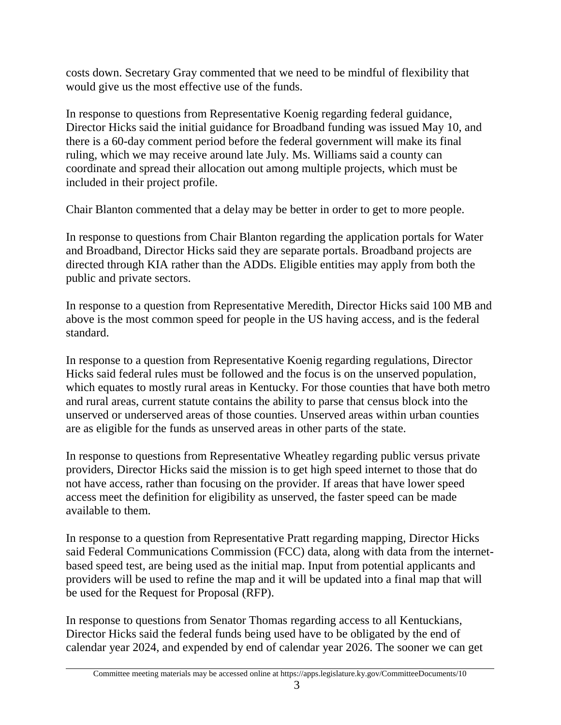costs down. Secretary Gray commented that we need to be mindful of flexibility that would give us the most effective use of the funds.

In response to questions from Representative Koenig regarding federal guidance, Director Hicks said the initial guidance for Broadband funding was issued May 10, and there is a 60-day comment period before the federal government will make its final ruling, which we may receive around late July. Ms. Williams said a county can coordinate and spread their allocation out among multiple projects, which must be included in their project profile.

Chair Blanton commented that a delay may be better in order to get to more people.

In response to questions from Chair Blanton regarding the application portals for Water and Broadband, Director Hicks said they are separate portals. Broadband projects are directed through KIA rather than the ADDs. Eligible entities may apply from both the public and private sectors.

In response to a question from Representative Meredith, Director Hicks said 100 MB and above is the most common speed for people in the US having access, and is the federal standard.

In response to a question from Representative Koenig regarding regulations, Director Hicks said federal rules must be followed and the focus is on the unserved population, which equates to mostly rural areas in Kentucky. For those counties that have both metro and rural areas, current statute contains the ability to parse that census block into the unserved or underserved areas of those counties. Unserved areas within urban counties are as eligible for the funds as unserved areas in other parts of the state.

In response to questions from Representative Wheatley regarding public versus private providers, Director Hicks said the mission is to get high speed internet to those that do not have access, rather than focusing on the provider. If areas that have lower speed access meet the definition for eligibility as unserved, the faster speed can be made available to them.

In response to a question from Representative Pratt regarding mapping, Director Hicks said Federal Communications Commission (FCC) data, along with data from the internetbased speed test, are being used as the initial map. Input from potential applicants and providers will be used to refine the map and it will be updated into a final map that will be used for the Request for Proposal (RFP).

In response to questions from Senator Thomas regarding access to all Kentuckians, Director Hicks said the federal funds being used have to be obligated by the end of calendar year 2024, and expended by end of calendar year 2026. The sooner we can get